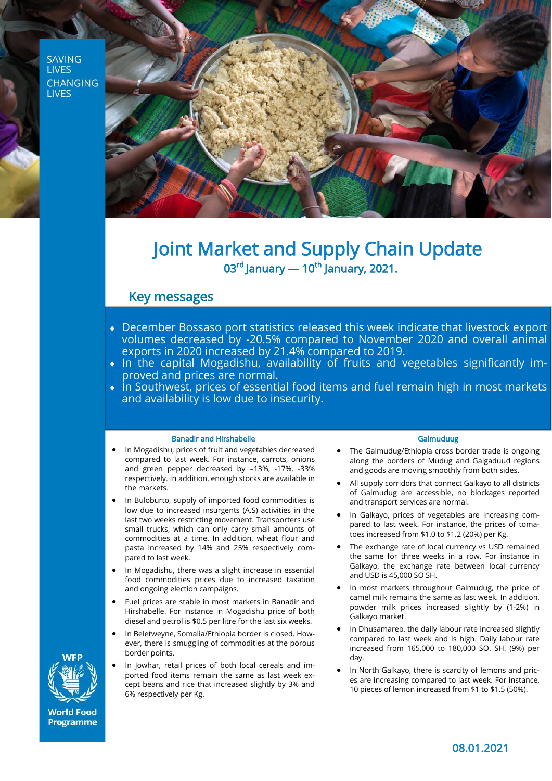**SAVING LIVES CHANGING LIVES** 



# Joint Market and Supply Chain Update  $03<sup>rd</sup>$  January — 10<sup>th</sup> January, 2021.

## Key messages

- December Bossaso port statistics released this week indicate that livestock export volumes decreased by -20.5% compared to November 2020 and overall animal exports in 2020 increased by 21.4% compared to 2019.
- $\bullet$  In the capital Mogadishu, availability of fruits and vegetables significantly improved and prices are normal.
- $\bullet$  in Southwest, prices of essential food items and fuel remain high in most markets and availability is low due to insecurity.

### Banadir and Hirshabelle

- In Mogadishu, prices of fruit and vegetables decreased compared to last week. For instance, carrots, onions and green pepper decreased by –13%, -17%, -33% respectively. In addition, enough stocks are available in the markets.
- In Buloburto, supply of imported food commodities is low due to increased insurgents (A.S) activities in the last two weeks restricting movement. Transporters use small trucks, which can only carry small amounts of commodities at a time. In addition, wheat flour and pasta increased by 14% and 25% respectively compared to last week.
- In Mogadishu, there was a slight increase in essential food commodities prices due to increased taxation and ongoing election campaigns.
- Fuel prices are stable in most markets in Banadir and Hirshabelle. For instance in Mogadishu price of both diesel and petrol is \$0.5 per litre for the last six weeks.
- In Beletweyne, Somalia/Ethiopia border is closed. However, there is smuggling of commodities at the porous border points.
- In Jowhar, retail prices of both local cereals and imported food items remain the same as last week except beans and rice that increased slightly by 3% and 6% respectively per Kg.

#### Galmuduug

- The Galmudug/Ethiopia cross border trade is ongoing along the borders of Mudug and Galgaduud regions and goods are moving smoothly from both sides.
- All supply corridors that connect Galkayo to all districts of Galmudug are accessible, no blockages reported and transport services are normal.
- In Galkayo, prices of vegetables are increasing compared to last week. For instance, the prices of tomatoes increased from \$1.0 to \$1.2 (20%) per Kg.
- The exchange rate of local currency vs USD remained the same for three weeks in a row. For instance in Galkayo, the exchange rate between local currency and USD is 45,000 SO SH.
- In most markets throughout Galmudug, the price of camel milk remains the same as last week. In addition, powder milk prices increased slightly by (1-2%) in Galkayo market.
- In Dhusamareb, the daily labour rate increased slightly compared to last week and is high. Daily labour rate increased from 165,000 to 180,000 SO. SH. (9%) per day.
- In North Galkayo, there is scarcity of lemons and prices are increasing compared to last week. For instance, 10 pieces of lemon increased from \$1 to \$1.5 (50%).



**World Food** Programme